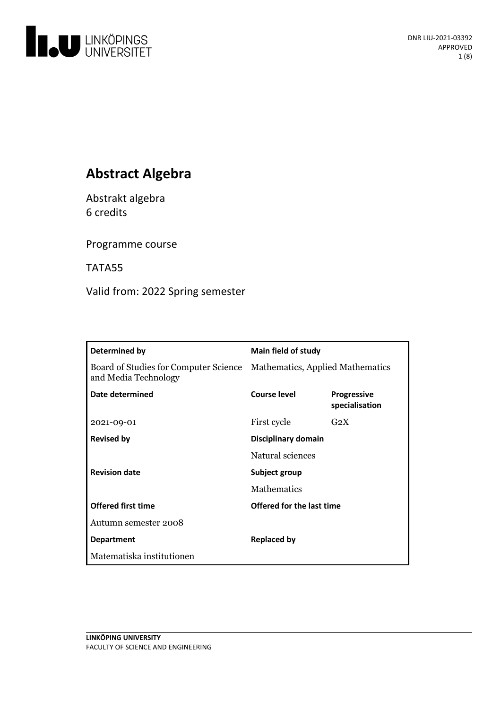

# **Abstract Algebra**

Abstrakt algebra 6 credits

Programme course

TATA55

Valid from: 2022 Spring semester

| Determined by                                                 | <b>Main field of study</b>       |                                      |
|---------------------------------------------------------------|----------------------------------|--------------------------------------|
| Board of Studies for Computer Science<br>and Media Technology | Mathematics, Applied Mathematics |                                      |
| Date determined                                               | <b>Course level</b>              | <b>Progressive</b><br>specialisation |
| 2021-09-01                                                    | First cycle                      | G <sub>2</sub> X                     |
| <b>Revised by</b>                                             | Disciplinary domain              |                                      |
|                                                               | Natural sciences                 |                                      |
| <b>Revision date</b>                                          | Subject group                    |                                      |
|                                                               | <b>Mathematics</b>               |                                      |
| <b>Offered first time</b>                                     | Offered for the last time        |                                      |
| Autumn semester 2008                                          |                                  |                                      |
| <b>Department</b>                                             | <b>Replaced by</b>               |                                      |
| Matematiska institutionen                                     |                                  |                                      |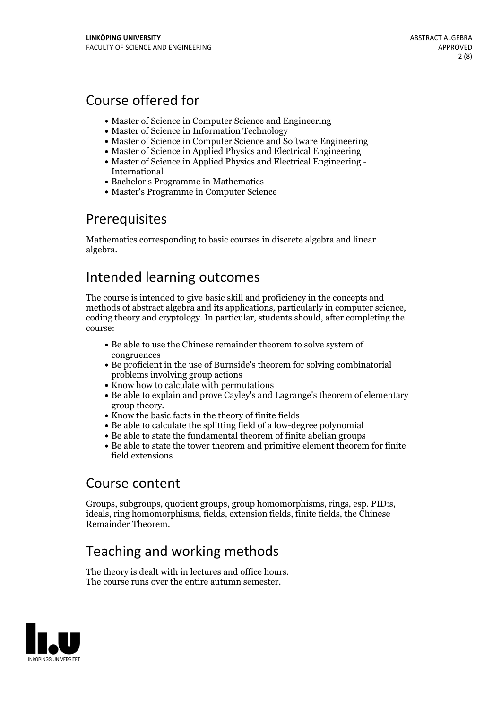# Course offered for

- Master of Science in Computer Science and Engineering
- Master of Science in Information Technology
- Master of Science in Computer Science and Software Engineering
- Master of Science in Applied Physics and Electrical Engineering
- Master of Science in Applied Physics and Electrical Engineering International
- Bachelor's Programme in Mathematics
- Master's Programme in Computer Science

## Prerequisites

Mathematics corresponding to basic courses in discrete algebra and linear algebra.

# Intended learning outcomes

The course is intended to give basic skill and proficiency in the concepts and methods of abstract algebra and its applications, particularly in computer science, coding theory and cryptology. In particular, students should, after completing the course:

- Be able to use the Chinese remainder theorem to solve system of congruences
- Be proficient in the use of Burnside's theorem for solving combinatorial problems involving group actions
- Know how to calculate with permutations
- Be able to explain and prove Cayley's and Lagrange's theorem of elementary group theory.<br>• Know the basic facts in the theory of finite fields
- 
- Be able to calculate the splitting field of a low-degree polynomial
- Be able to state the fundamental theorem of finite abelian groups
- Be able to state the tower theorem and primitive element theorem for finite field extensions

## Course content

Groups, subgroups, quotient groups, group homomorphisms, rings, esp. PID:s, ideals, ring homomorphisms, fields, extension fields, finite fields, the Chinese Remainder Theorem.

# Teaching and working methods

The theory is dealt with in lectures and office hours. The course runs over the entire autumn semester.

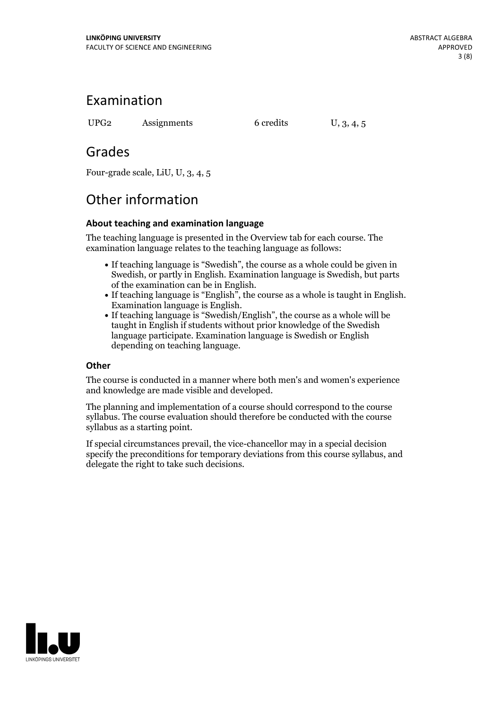## Examination

UPG2 Assignments 6 credits U, 3, 4, 5

## Grades

Four-grade scale, LiU, U, 3, 4, 5

# Other information

### **About teaching and examination language**

The teaching language is presented in the Overview tab for each course. The examination language relates to the teaching language as follows:

- If teaching language is "Swedish", the course as a whole could be given in Swedish, or partly in English. Examination language is Swedish, but parts
- of the examination can be in English. If teaching language is "English", the course as <sup>a</sup> whole is taught in English. Examination language is English. If teaching language is "Swedish/English", the course as <sup>a</sup> whole will be
- taught in English if students without prior knowledge of the Swedish language participate. Examination language is Swedish or English depending on teaching language.

### **Other**

The course is conducted in a manner where both men's and women's experience and knowledge are made visible and developed.

The planning and implementation of a course should correspond to the course syllabus. The course evaluation should therefore be conducted with the course syllabus as a starting point.

If special circumstances prevail, the vice-chancellor may in a special decision specify the preconditions for temporary deviations from this course syllabus, and delegate the right to take such decisions.

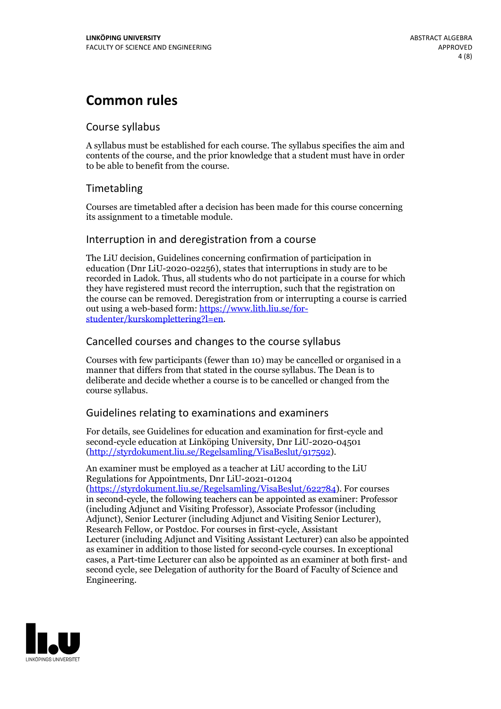# **Common rules**

### Course syllabus

A syllabus must be established for each course. The syllabus specifies the aim and contents of the course, and the prior knowledge that a student must have in order to be able to benefit from the course.

### Timetabling

Courses are timetabled after a decision has been made for this course concerning its assignment to a timetable module.

### Interruption in and deregistration from a course

The LiU decision, Guidelines concerning confirmation of participation in education (Dnr LiU-2020-02256), states that interruptions in study are to be recorded in Ladok. Thus, all students who do not participate in a course for which they have registered must record the interruption, such that the registration on the course can be removed. Deregistration from or interrupting a course is carried out using <sup>a</sup> web-based form: https://www.lith.liu.se/for- [studenter/kurskomplettering?l=en.](https://www.lith.liu.se/for-studenter/kurskomplettering?l=en)

### Cancelled courses and changes to the course syllabus

Courses with few participants (fewer than 10) may be cancelled or organised in a manner that differs from that stated in the course syllabus. The Dean is to deliberate and decide whether a course is to be cancelled or changed from the course syllabus.

### Guidelines relating to examinations and examiners

For details, see Guidelines for education and examination for first-cycle and second-cycle education at Linköping University, Dnr LiU-2020-04501 [\(http://styrdokument.liu.se/Regelsamling/VisaBeslut/917592\)](http://styrdokument.liu.se/Regelsamling/VisaBeslut/917592).

An examiner must be employed as a teacher at LiU according to the LiU Regulations for Appointments, Dnr LiU-2021-01204 [\(https://styrdokument.liu.se/Regelsamling/VisaBeslut/622784](https://styrdokument.liu.se/Regelsamling/VisaBeslut/622784)). For courses in second-cycle, the following teachers can be appointed as examiner: Professor (including Adjunct and Visiting Professor), Associate Professor (including Adjunct), Senior Lecturer (including Adjunct and Visiting Senior Lecturer), Research Fellow, or Postdoc. For courses in first-cycle, Assistant Lecturer (including Adjunct and Visiting Assistant Lecturer) can also be appointed as examiner in addition to those listed for second-cycle courses. In exceptional cases, a Part-time Lecturer can also be appointed as an examiner at both first- and second cycle, see Delegation of authority for the Board of Faculty of Science and Engineering.

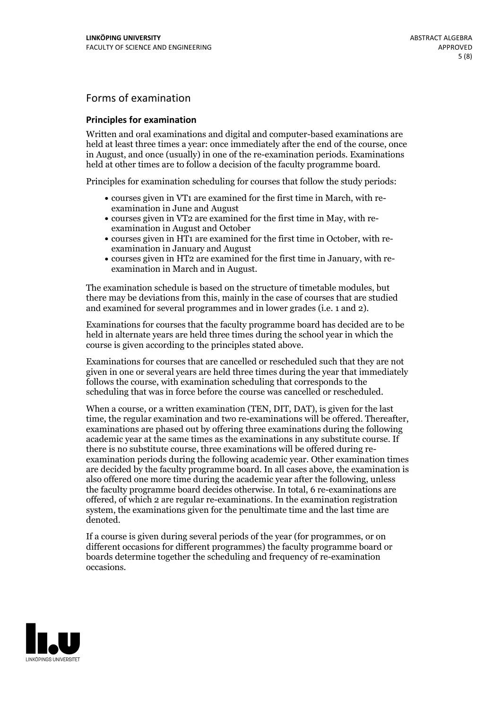## Forms of examination

### **Principles for examination**

Written and oral examinations and digital and computer-based examinations are held at least three times a year: once immediately after the end of the course, once in August, and once (usually) in one of the re-examination periods. Examinations held at other times are to follow a decision of the faculty programme board.

Principles for examination scheduling for courses that follow the study periods:

- courses given in VT1 are examined for the first time in March, with re-examination in June and August
- courses given in VT2 are examined for the first time in May, with re-examination in August and October
- courses given in HT1 are examined for the first time in October, with re-examination in January and August
- courses given in HT2 are examined for the first time in January, with re-examination in March and in August.

The examination schedule is based on the structure of timetable modules, but there may be deviations from this, mainly in the case of courses that are studied and examined for several programmes and in lower grades (i.e. 1 and 2).

Examinations for courses that the faculty programme board has decided are to be held in alternate years are held three times during the school year in which the course is given according to the principles stated above.

Examinations for courses that are cancelled orrescheduled such that they are not given in one or several years are held three times during the year that immediately follows the course, with examination scheduling that corresponds to the scheduling that was in force before the course was cancelled or rescheduled.

When a course, or a written examination (TEN, DIT, DAT), is given for the last time, the regular examination and two re-examinations will be offered. Thereafter, examinations are phased out by offering three examinations during the following academic year at the same times as the examinations in any substitute course. If there is no substitute course, three examinations will be offered during re- examination periods during the following academic year. Other examination times are decided by the faculty programme board. In all cases above, the examination is also offered one more time during the academic year after the following, unless the faculty programme board decides otherwise. In total, 6 re-examinations are offered, of which 2 are regular re-examinations. In the examination registration system, the examinations given for the penultimate time and the last time are denoted.

If a course is given during several periods of the year (for programmes, or on different occasions for different programmes) the faculty programme board or boards determine together the scheduling and frequency of re-examination occasions.

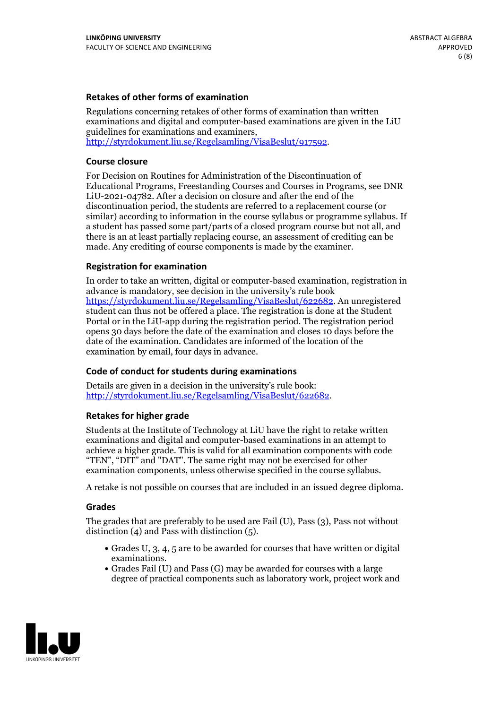### **Retakes of other forms of examination**

Regulations concerning retakes of other forms of examination than written examinations and digital and computer-based examinations are given in the LiU guidelines for examinations and examiners, [http://styrdokument.liu.se/Regelsamling/VisaBeslut/917592.](http://styrdokument.liu.se/Regelsamling/VisaBeslut/917592)

#### **Course closure**

For Decision on Routines for Administration of the Discontinuation of Educational Programs, Freestanding Courses and Courses in Programs, see DNR LiU-2021-04782. After a decision on closure and after the end of the discontinuation period, the students are referred to a replacement course (or similar) according to information in the course syllabus or programme syllabus. If a student has passed some part/parts of a closed program course but not all, and there is an at least partially replacing course, an assessment of crediting can be made. Any crediting of course components is made by the examiner.

#### **Registration for examination**

In order to take an written, digital or computer-based examination, registration in advance is mandatory, see decision in the university's rule book [https://styrdokument.liu.se/Regelsamling/VisaBeslut/622682.](https://styrdokument.liu.se/Regelsamling/VisaBeslut/622682) An unregistered student can thus not be offered a place. The registration is done at the Student Portal or in the LiU-app during the registration period. The registration period opens 30 days before the date of the examination and closes 10 days before the date of the examination. Candidates are informed of the location of the examination by email, four days in advance.

#### **Code of conduct for students during examinations**

Details are given in a decision in the university's rule book: <http://styrdokument.liu.se/Regelsamling/VisaBeslut/622682>.

#### **Retakes for higher grade**

Students at the Institute of Technology at LiU have the right to retake written examinations and digital and computer-based examinations in an attempt to achieve a higher grade. This is valid for all examination components with code "TEN", "DIT" and "DAT". The same right may not be exercised for other examination components, unless otherwise specified in the course syllabus.

A retake is not possible on courses that are included in an issued degree diploma.

#### **Grades**

The grades that are preferably to be used are Fail (U), Pass (3), Pass not without distinction  $(4)$  and Pass with distinction  $(5)$ .

- Grades U, 3, 4, 5 are to be awarded for courses that have written or digital examinations.<br>• Grades Fail (U) and Pass (G) may be awarded for courses with a large
- degree of practical components such as laboratory work, project work and

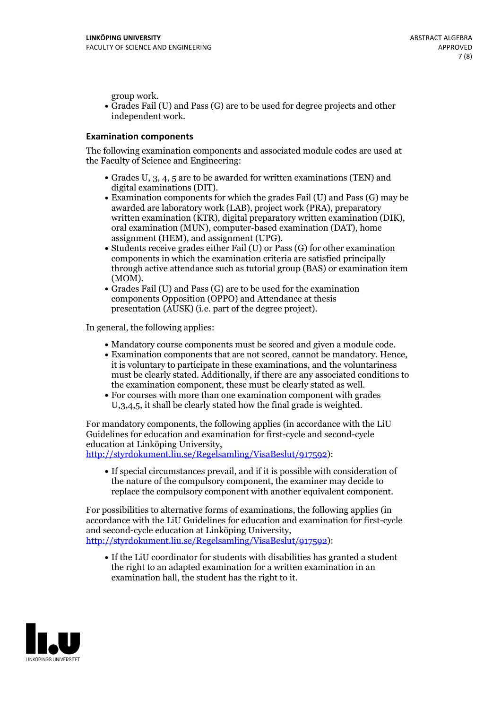group work.<br>• Grades Fail (U) and Pass (G) are to be used for degree projects and other independent work.

### **Examination components**

The following examination components and associated module codes are used at the Faculty of Science and Engineering:

- Grades U, 3, 4, 5 are to be awarded for written examinations (TEN) and
- digital examinations (DIT).<br>• Examination components for which the grades Fail (U) and Pass (G) may be awarded are laboratory work (LAB), project work (PRA), preparatory written examination (KTR), digital preparatory written examination (DIK), oral examination (MUN), computer-based examination (DAT), home
- assignment (HEM), and assignment (UPG).<br>• Students receive grades either Fail (U) or Pass (G) for other examination components in which the examination criteria are satisfied principally through active attendance such as tutorial group (BAS) or examination item
- (MOM).<br>• Grades Fail (U) and Pass (G) are to be used for the examination components Opposition (OPPO) and Attendance at thesis presentation (AUSK) (i.e. part of the degree project).

In general, the following applies:

- 
- Mandatory course components must be scored and given <sup>a</sup> module code. Examination components that are not scored, cannot be mandatory. Hence, it is voluntary to participate in these examinations, and the voluntariness must be clearly stated. Additionally, if there are any associated conditions to
- the examination component, these must be clearly stated as well.<br>• For courses with more than one examination component with grades U,3,4,5, it shall be clearly stated how the final grade is weighted.

For mandatory components, the following applies (in accordance with the LiU Guidelines for education and examination for first-cycle and second-cycle education at Linköping University,<br>[http://styrdokument.liu.se/Regelsamling/VisaBeslut/917592\)](http://styrdokument.liu.se/Regelsamling/VisaBeslut/917592):

If special circumstances prevail, and if it is possible with consideration of the nature of the compulsory component, the examiner may decide to replace the compulsory component with another equivalent component.

For possibilities to alternative forms of examinations, the following applies (in accordance with the LiU Guidelines for education and examination for first-cycle [http://styrdokument.liu.se/Regelsamling/VisaBeslut/917592\)](http://styrdokument.liu.se/Regelsamling/VisaBeslut/917592):

If the LiU coordinator for students with disabilities has granted a student the right to an adapted examination for a written examination in an examination hall, the student has the right to it.